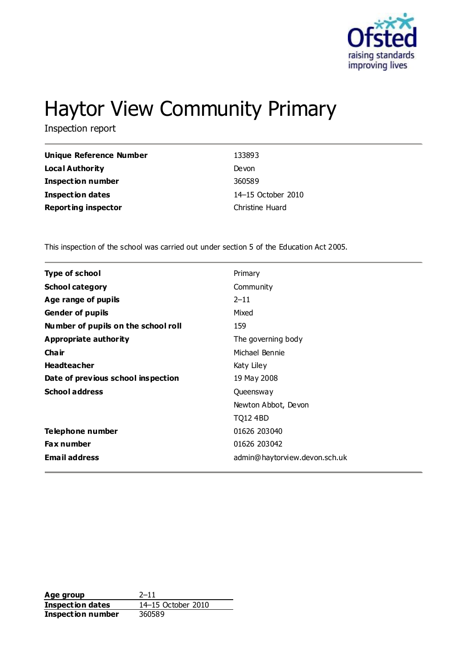

# Haytor View Community Primary

Inspection report

| Unique Reference Number    | 133893             |
|----------------------------|--------------------|
| Local Authority            | Devon              |
| <b>Inspection number</b>   | 360589             |
| <b>Inspection dates</b>    | 14–15 October 2010 |
| <b>Reporting inspector</b> | Christine Huard    |

This inspection of the school was carried out under section 5 of the Education Act 2005.

| <b>Type of school</b>               | Primary                       |
|-------------------------------------|-------------------------------|
| <b>School category</b>              | Community                     |
| Age range of pupils                 | $2 - 11$                      |
| <b>Gender of pupils</b>             | Mixed                         |
| Number of pupils on the school roll | 159                           |
| Appropriate authority               | The governing body            |
| Cha ir                              | Michael Bennie                |
| <b>Headteacher</b>                  | Katy Liley                    |
| Date of previous school inspection  | 19 May 2008                   |
| <b>School address</b>               | Queensway                     |
|                                     | Newton Abbot, Devon           |
|                                     | <b>TQ12 4BD</b>               |
| Telephone number                    | 01626 203040                  |
| Fax number                          | 01626 203042                  |
| <b>Email address</b>                | admin@haytorview.devon.sch.uk |
|                                     |                               |

**Age group** 2–11<br> **Inspection dates** 14–15 October 2010 **Inspection dates Inspection number** 360589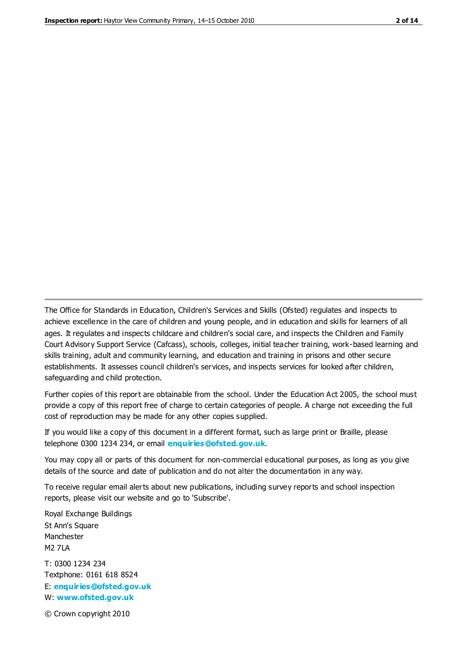The Office for Standards in Education, Children's Services and Skills (Ofsted) regulates and inspects to achieve excellence in the care of children and young people, and in education and skills for learners of all ages. It regulates and inspects childcare and children's social care, and inspects the Children and Family Court Advisory Support Service (Cafcass), schools, colleges, initial teacher training, work-based learning and skills training, adult and community learning, and education and training in prisons and other secure establishments. It assesses council children's services, and inspects services for looked after children, safeguarding and child protection.

Further copies of this report are obtainable from the school. Under the Education Act 2005, the school must provide a copy of this report free of charge to certain categories of people. A charge not exceeding the full cost of reproduction may be made for any other copies supplied.

If you would like a copy of this document in a different format, such as large print or Braille, please telephone 0300 1234 234, or email **[enquiries@ofsted.gov.uk](mailto:enquiries@ofsted.gov.uk)**.

You may copy all or parts of this document for non-commercial educational purposes, as long as you give details of the source and date of publication and do not alter the documentation in any way.

To receive regular email alerts about new publications, including survey reports and school inspection reports, please visit our website and go to 'Subscribe'.

Royal Exchange Buildings St Ann's Square Manchester M2 7LA T: 0300 1234 234 Textphone: 0161 618 8524 E: **[enquiries@ofsted.gov.uk](mailto:enquiries@ofsted.gov.uk)**

W: **[www.ofsted.gov.uk](http://www.ofsted.gov.uk/)**

© Crown copyright 2010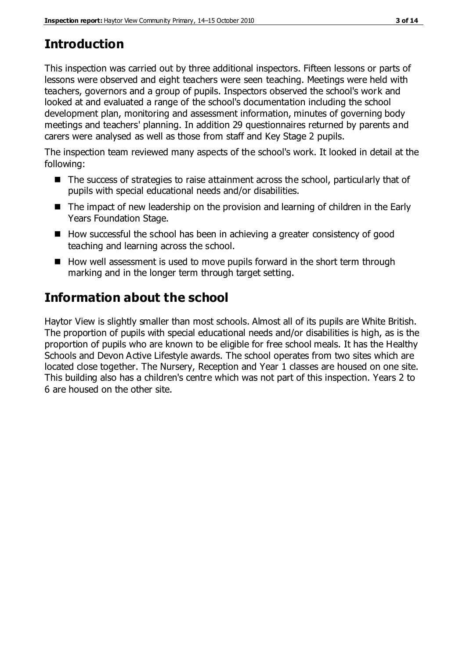## **Introduction**

This inspection was carried out by three additional inspectors. Fifteen lessons or parts of lessons were observed and eight teachers were seen teaching. Meetings were held with teachers, governors and a group of pupils. Inspectors observed the school's work and looked at and evaluated a range of the school's documentation including the school development plan, monitoring and assessment information, minutes of governing body meetings and teachers' planning. In addition 29 questionnaires returned by parents and carers were analysed as well as those from staff and Key Stage 2 pupils.

The inspection team reviewed many aspects of the school's work. It looked in detail at the following:

- The success of strategies to raise attainment across the school, particularly that of pupils with special educational needs and/or disabilities.
- The impact of new leadership on the provision and learning of children in the Early Years Foundation Stage.
- $\blacksquare$  How successful the school has been in achieving a greater consistency of good teaching and learning across the school.
- How well assessment is used to move pupils forward in the short term through marking and in the longer term through target setting.

## **Information about the school**

Haytor View is slightly smaller than most schools. Almost all of its pupils are White British. The proportion of pupils with special educational needs and/or disabilities is high, as is the proportion of pupils who are known to be eligible for free school meals. It has the Healthy Schools and Devon Active Lifestyle awards. The school operates from two sites which are located close together. The Nursery, Reception and Year 1 classes are housed on one site. This building also has a children's centre which was not part of this inspection. Years 2 to 6 are housed on the other site.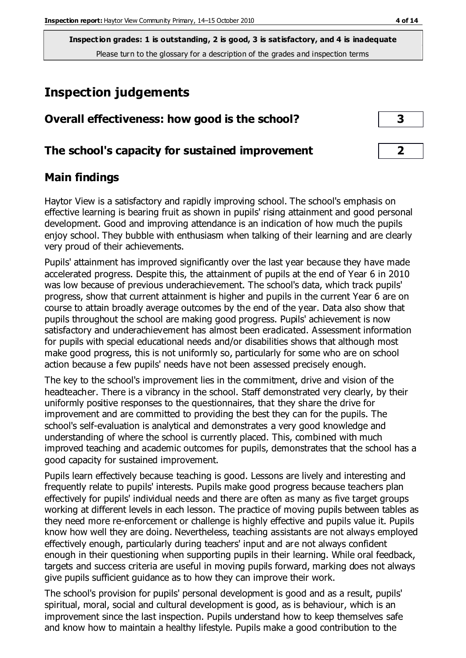## **Inspection judgements**

|  | Overall effectiveness: how good is the school? |  |  |  |  |  |
|--|------------------------------------------------|--|--|--|--|--|
|--|------------------------------------------------|--|--|--|--|--|

#### **The school's capacity for sustained improvement 2**

#### **Main findings**

Haytor View is a satisfactory and rapidly improving school. The school's emphasis on effective learning is bearing fruit as shown in pupils' rising attainment and good personal development. Good and improving attendance is an indication of how much the pupils enjoy school. They bubble with enthusiasm when talking of their learning and are clearly very proud of their achievements.

Pupils' attainment has improved significantly over the last year because they have made accelerated progress. Despite this, the attainment of pupils at the end of Year 6 in 2010 was low because of previous underachievement. The school's data, which track pupils' progress, show that current attainment is higher and pupils in the current Year 6 are on course to attain broadly average outcomes by the end of the year. Data also show that pupils throughout the school are making good progress. Pupils' achievement is now satisfactory and underachievement has almost been eradicated. Assessment information for pupils with special educational needs and/or disabilities shows that although most make good progress, this is not uniformly so, particularly for some who are on school action because a few pupils' needs have not been assessed precisely enough.

The key to the school's improvement lies in the commitment, drive and vision of the headteacher. There is a vibrancy in the school. Staff demonstrated very clearly, by their uniformly positive responses to the questionnaires, that they share the drive for improvement and are committed to providing the best they can for the pupils. The school's self-evaluation is analytical and demonstrates a very good knowledge and understanding of where the school is currently placed. This, combined with much improved teaching and academic outcomes for pupils, demonstrates that the school has a good capacity for sustained improvement.

Pupils learn effectively because teaching is good. Lessons are lively and interesting and frequently relate to pupils' interests. Pupils make good progress because teachers plan effectively for pupils' individual needs and there are often as many as five target groups working at different levels in each lesson. The practice of moving pupils between tables as they need more re-enforcement or challenge is highly effective and pupils value it. Pupils know how well they are doing. Nevertheless, teaching assistants are not always employed effectively enough, particularly during teachers' input and are not always confident enough in their questioning when supporting pupils in their learning. While oral feedback, targets and success criteria are useful in moving pupils forward, marking does not always give pupils sufficient guidance as to how they can improve their work.

The school's provision for pupils' personal development is good and as a result, pupils' spiritual, moral, social and cultural development is good, as is behaviour, which is an improvement since the last inspection. Pupils understand how to keep themselves safe and know how to maintain a healthy lifestyle. Pupils make a good contribution to the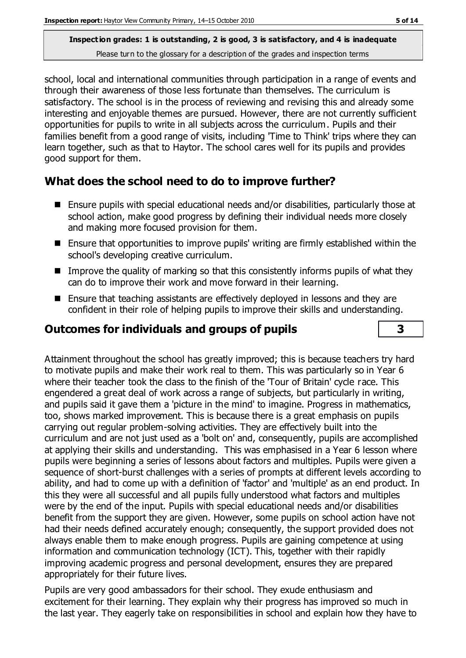school, local and international communities through participation in a range of events and through their awareness of those less fortunate than themselves. The curriculum is satisfactory. The school is in the process of reviewing and revising this and already some interesting and enjoyable themes are pursued. However, there are not currently sufficient opportunities for pupils to write in all subjects across the curriculum. Pupils and their families benefit from a good range of visits, including 'Time to Think' trips where they can learn together, such as that to Haytor. The school cares well for its pupils and provides good support for them.

## **What does the school need to do to improve further?**

- Ensure pupils with special educational needs and/or disabilities, particularly those at school action, make good progress by defining their individual needs more closely and making more focused provision for them.
- Ensure that opportunities to improve pupils' writing are firmly established within the school's developing creative curriculum.
- Improve the quality of marking so that this consistently informs pupils of what they can do to improve their work and move forward in their learning.
- Ensure that teaching assistants are effectively deployed in lessons and they are confident in their role of helping pupils to improve their skills and understanding.

## **Outcomes for individuals and groups of pupils 3**

Attainment throughout the school has greatly improved; this is because teachers try hard to motivate pupils and make their work real to them. This was particularly so in Year 6 where their teacher took the class to the finish of the 'Tour of Britain' cycle race. This engendered a great deal of work across a range of subjects, but particularly in writing, and pupils said it gave them a 'picture in the mind' to imagine. Progress in mathematics, too, shows marked improvement. This is because there is a great emphasis on pupils carrying out regular problem-solving activities. They are effectively built into the curriculum and are not just used as a 'bolt on' and, consequently, pupils are accomplished at applying their skills and understanding. This was emphasised in a Year 6 lesson where pupils were beginning a series of lessons about factors and multiples. Pupils were given a sequence of short-burst challenges with a series of prompts at different levels according to ability, and had to come up with a definition of 'factor' and 'multiple' as an end product. In this they were all successful and all pupils fully understood what factors and multiples were by the end of the input. Pupils with special educational needs and/or disabilities benefit from the support they are given. However, some pupils on school action have not had their needs defined accurately enough; consequently, the support provided does not always enable them to make enough progress. Pupils are gaining competence at using information and communication technology (ICT). This, together with their rapidly improving academic progress and personal development, ensures they are prepared appropriately for their future lives.

Pupils are very good ambassadors for their school. They exude enthusiasm and excitement for their learning. They explain why their progress has improved so much in the last year. They eagerly take on responsibilities in school and explain how they have to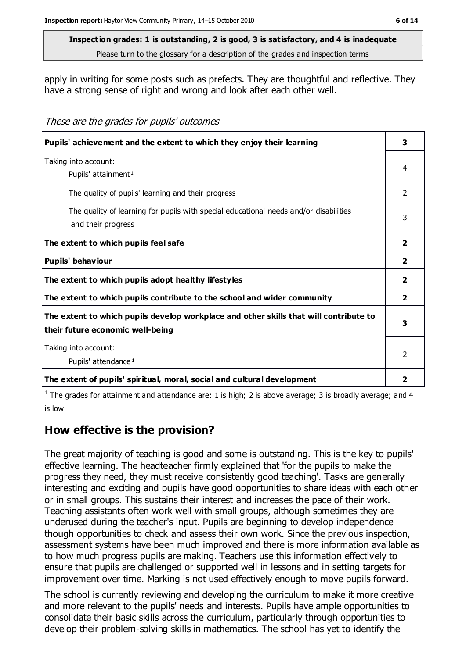#### **Inspection grades: 1 is outstanding, 2 is good, 3 is satisfactory, and 4 is inadequate**

Please turn to the glossary for a description of the grades and inspection terms

apply in writing for some posts such as prefects. They are thoughtful and reflective. They have a strong sense of right and wrong and look after each other well.

These are the grades for pupils' outcomes

| Pupils' achievement and the extent to which they enjoy their learning                                                     |                |  |
|---------------------------------------------------------------------------------------------------------------------------|----------------|--|
| Taking into account:<br>Pupils' attainment <sup>1</sup>                                                                   | 4              |  |
| The quality of pupils' learning and their progress                                                                        | 2              |  |
| The quality of learning for pupils with special educational needs and/or disabilities<br>and their progress               | 3              |  |
| The extent to which pupils feel safe                                                                                      | $\overline{2}$ |  |
| Pupils' behaviour                                                                                                         | $\overline{2}$ |  |
| The extent to which pupils adopt healthy lifestyles                                                                       | $\overline{2}$ |  |
| The extent to which pupils contribute to the school and wider community                                                   | $\overline{2}$ |  |
| The extent to which pupils develop workplace and other skills that will contribute to<br>their future economic well-being | 3              |  |
| Taking into account:<br>Pupils' attendance <sup>1</sup>                                                                   | 2              |  |
| The extent of pupils' spiritual, moral, social and cultural development                                                   | 2              |  |

<sup>1</sup> The grades for attainment and attendance are: 1 is high; 2 is above average; 3 is broadly average; and 4 is low

#### **How effective is the provision?**

The great majority of teaching is good and some is outstanding. This is the key to pupils' effective learning. The headteacher firmly explained that 'for the pupils to make the progress they need, they must receive consistently good teaching'. Tasks are generally interesting and exciting and pupils have good opportunities to share ideas with each other or in small groups. This sustains their interest and increases the pace of their work. Teaching assistants often work well with small groups, although sometimes they are underused during the teacher's input. Pupils are beginning to develop independence though opportunities to check and assess their own work. Since the previous inspection, assessment systems have been much improved and there is more information available as to how much progress pupils are making. Teachers use this information effectively to ensure that pupils are challenged or supported well in lessons and in setting targets for improvement over time. Marking is not used effectively enough to move pupils forward.

The school is currently reviewing and developing the curriculum to make it more creative and more relevant to the pupils' needs and interests. Pupils have ample opportunities to consolidate their basic skills across the curriculum, particularly through opportunities to develop their problem-solving skills in mathematics. The school has yet to identify the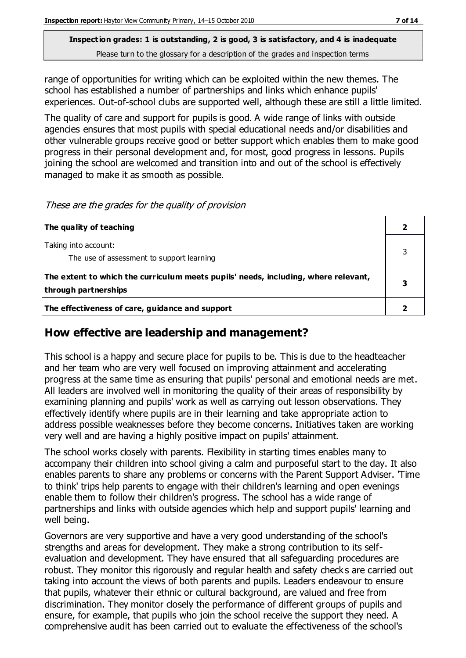## **Inspection grades: 1 is outstanding, 2 is good, 3 is satisfactory, and 4 is inadequate**

Please turn to the glossary for a description of the grades and inspection terms

range of opportunities for writing which can be exploited within the new themes. The school has established a number of partnerships and links which enhance pupils' experiences. Out-of-school clubs are supported well, although these are still a little limited.

The quality of care and support for pupils is good. A wide range of links with outside agencies ensures that most pupils with special educational needs and/or disabilities and other vulnerable groups receive good or better support which enables them to make good progress in their personal development and, for most, good progress in lessons. Pupils joining the school are welcomed and transition into and out of the school is effectively managed to make it as smooth as possible.

These are the grades for the quality of provision

| The quality of teaching                                                                                    |  |
|------------------------------------------------------------------------------------------------------------|--|
| Taking into account:<br>The use of assessment to support learning                                          |  |
| The extent to which the curriculum meets pupils' needs, including, where relevant,<br>through partnerships |  |
| The effectiveness of care, guidance and support                                                            |  |

#### **How effective are leadership and management?**

This school is a happy and secure place for pupils to be. This is due to the headteacher and her team who are very well focused on improving attainment and accelerating progress at the same time as ensuring that pupils' personal and emotional needs are met. All leaders are involved well in monitoring the quality of their areas of responsibility by examining planning and pupils' work as well as carrying out lesson observations. They effectively identify where pupils are in their learning and take appropriate action to address possible weaknesses before they become concerns. Initiatives taken are working very well and are having a highly positive impact on pupils' attainment.

The school works closely with parents. Flexibility in starting times enables many to accompany their children into school giving a calm and purposeful start to the day. It also enables parents to share any problems or concerns with the Parent Support Adviser. 'Time to think' trips help parents to engage with their children's learning and open evenings enable them to follow their children's progress. The school has a wide range of partnerships and links with outside agencies which help and support pupils' learning and well being.

Governors are very supportive and have a very good understanding of the school's strengths and areas for development. They make a strong contribution to its selfevaluation and development. They have ensured that all safeguarding procedures are robust. They monitor this rigorously and regular health and safety checks are carried out taking into account the views of both parents and pupils. Leaders endeavour to ensure that pupils, whatever their ethnic or cultural background, are valued and free from discrimination. They monitor closely the performance of different groups of pupils and ensure, for example, that pupils who join the school receive the support they need. A comprehensive audit has been carried out to evaluate the effectiveness of the school's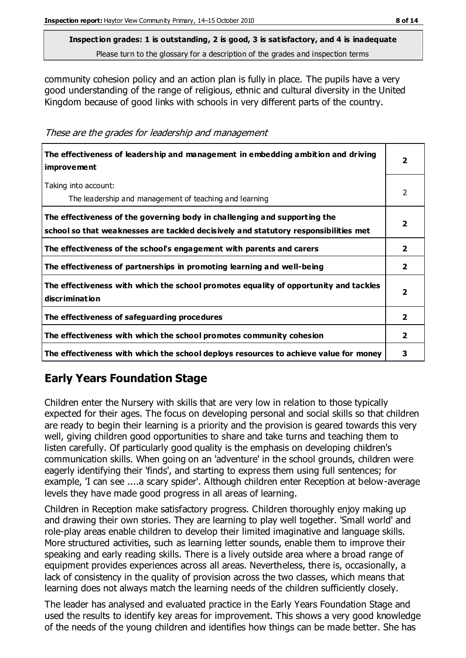community cohesion policy and an action plan is fully in place. The pupils have a very good understanding of the range of religious, ethnic and cultural diversity in the United Kingdom because of good links with schools in very different parts of the country.

These are the grades for leadership and management

| The effectiveness of leadership and management in embedding ambition and driving<br><i>improvement</i>                                                           |                         |
|------------------------------------------------------------------------------------------------------------------------------------------------------------------|-------------------------|
| Taking into account:<br>The leadership and management of teaching and learning                                                                                   | $\mathcal{P}$           |
| The effectiveness of the governing body in challenging and supporting the<br>school so that weaknesses are tackled decisively and statutory responsibilities met | 2                       |
| The effectiveness of the school's engagement with parents and carers                                                                                             | $\mathbf{2}$            |
| The effectiveness of partnerships in promoting learning and well-being                                                                                           | $\overline{2}$          |
| The effectiveness with which the school promotes equality of opportunity and tackles<br>discrimination                                                           | $\overline{\mathbf{2}}$ |
| The effectiveness of safeguarding procedures                                                                                                                     | 2                       |
| The effectiveness with which the school promotes community cohesion                                                                                              | 2                       |
| The effectiveness with which the school deploys resources to achieve value for money                                                                             | 3                       |

## **Early Years Foundation Stage**

Children enter the Nursery with skills that are very low in relation to those typically expected for their ages. The focus on developing personal and social skills so that children are ready to begin their learning is a priority and the provision is geared towards this very well, giving children good opportunities to share and take turns and teaching them to listen carefully. Of particularly good quality is the emphasis on developing children's communication skills. When going on an 'adventure' in the school grounds, children were eagerly identifying their 'finds', and starting to express them using full sentences; for example, 'I can see ....a scary spider'. Although children enter Reception at below-average levels they have made good progress in all areas of learning.

Children in Reception make satisfactory progress. Children thoroughly enjoy making up and drawing their own stories. They are learning to play well together. 'Small world' and role-play areas enable children to develop their limited imaginative and language skills. More structured activities, such as learning letter sounds, enable them to improve their speaking and early reading skills. There is a lively outside area where a broad range of equipment provides experiences across all areas. Nevertheless, there is, occasionally, a lack of consistency in the quality of provision across the two classes, which means that learning does not always match the learning needs of the children sufficiently closely.

The leader has analysed and evaluated practice in the Early Years Foundation Stage and used the results to identify key areas for improvement. This shows a very good knowledge of the needs of the young children and identifies how things can be made better. She has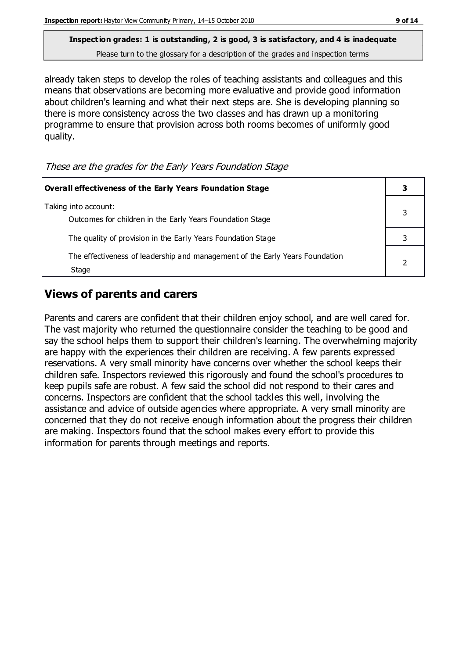already taken steps to develop the roles of teaching assistants and colleagues and this means that observations are becoming more evaluative and provide good information about children's learning and what their next steps are. She is developing planning so there is more consistency across the two classes and has drawn up a monitoring programme to ensure that provision across both rooms becomes of uniformly good quality.

**Overall effectiveness of the Early Years Foundation Stage 3** Taking into account: Outcomes for children in the Early Years Foundation Stage 3 The quality of provision in the Early Years Foundation Stage **3 1** 3 The effectiveness of leadership and management of the Early Years Foundation **Stage** 2

#### These are the grades for the Early Years Foundation Stage

#### **Views of parents and carers**

Parents and carers are confident that their children enjoy school, and are well cared for. The vast majority who returned the questionnaire consider the teaching to be good and say the school helps them to support their children's learning. The overwhelming majority are happy with the experiences their children are receiving. A few parents expressed reservations. A very small minority have concerns over whether the school keeps their children safe. Inspectors reviewed this rigorously and found the school's procedures to keep pupils safe are robust. A few said the school did not respond to their cares and concerns. Inspectors are confident that the school tackles this well, involving the assistance and advice of outside agencies where appropriate. A very small minority are concerned that they do not receive enough information about the progress their children are making. Inspectors found that the school makes every effort to provide this information for parents through meetings and reports.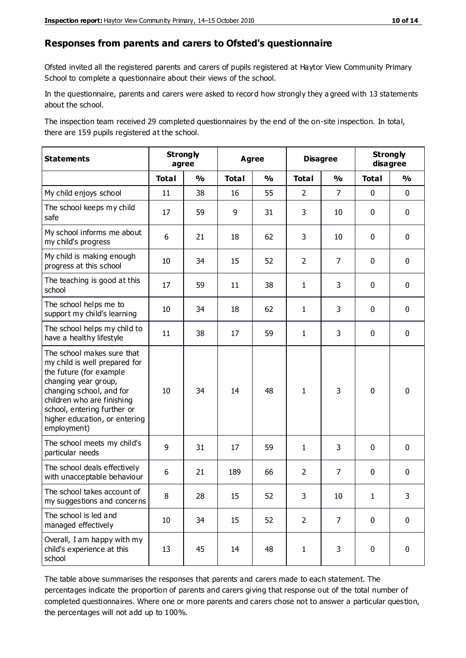#### **Responses from parents and carers to Ofsted's questionnaire**

Ofsted invited all the registered parents and carers of pupils registered at Haytor View Community Primary School to complete a questionnaire about their views of the school.

In the questionnaire, parents and carers were asked to record how strongly they a greed with 13 statements about the school.

The inspection team received 29 completed questionnaires by the end of the on-site inspection. In total, there are 159 pupils registered at the school.

| <b>Statements</b>                                                                                                                                                                                                                                       | <b>Strongly</b><br>agree |               | <b>Agree</b> |               | <b>Disagree</b> |                | <b>Strongly</b><br>disagree |               |
|---------------------------------------------------------------------------------------------------------------------------------------------------------------------------------------------------------------------------------------------------------|--------------------------|---------------|--------------|---------------|-----------------|----------------|-----------------------------|---------------|
|                                                                                                                                                                                                                                                         | <b>Total</b>             | $\frac{0}{0}$ | <b>Total</b> | $\frac{0}{0}$ | <b>Total</b>    | $\frac{0}{0}$  | <b>Total</b>                | $\frac{0}{0}$ |
| My child enjoys school                                                                                                                                                                                                                                  | 11                       | 38            | 16           | 55            | $\overline{2}$  | $\overline{7}$ | 0                           | $\mathbf 0$   |
| The school keeps my child<br>safe                                                                                                                                                                                                                       | 17                       | 59            | 9            | 31            | 3               | 10             | $\mathbf 0$                 | $\mathbf 0$   |
| My school informs me about<br>my child's progress                                                                                                                                                                                                       | 6                        | 21            | 18           | 62            | 3               | 10             | $\mathbf 0$                 | $\mathbf 0$   |
| My child is making enough<br>progress at this school                                                                                                                                                                                                    | 10                       | 34            | 15           | 52            | $\overline{2}$  | $\overline{7}$ | $\mathbf 0$                 | $\mathbf 0$   |
| The teaching is good at this<br>school                                                                                                                                                                                                                  | 17                       | 59            | 11           | 38            | $\mathbf{1}$    | 3              | $\mathbf 0$                 | $\mathbf 0$   |
| The school helps me to<br>support my child's learning                                                                                                                                                                                                   | 10                       | 34            | 18           | 62            | $\mathbf{1}$    | 3              | $\mathbf 0$                 | $\mathbf 0$   |
| The school helps my child to<br>have a healthy lifestyle                                                                                                                                                                                                | 11                       | 38            | 17           | 59            | $\mathbf{1}$    | 3              | $\mathbf 0$                 | $\mathbf 0$   |
| The school makes sure that<br>my child is well prepared for<br>the future (for example<br>changing year group,<br>changing school, and for<br>children who are finishing<br>school, entering further or<br>higher education, or entering<br>employment) | 10                       | 34            | 14           | 48            | $\mathbf{1}$    | 3              | $\mathbf 0$                 | $\mathbf 0$   |
| The school meets my child's<br>particular needs                                                                                                                                                                                                         | 9                        | 31            | 17           | 59            | $\mathbf{1}$    | 3              | $\mathbf 0$                 | $\mathbf 0$   |
| The school deals effectively<br>with unacceptable behaviour                                                                                                                                                                                             | 6                        | 21            | 189          | 66            | $\overline{2}$  | $\overline{7}$ | $\mathbf 0$                 | $\mathbf 0$   |
| The school takes account of<br>my suggestions and concerns                                                                                                                                                                                              | 8                        | 28            | 15           | 52            | 3               | 10             | 1                           | 3             |
| The school is led and<br>managed effectively                                                                                                                                                                                                            | 10                       | 34            | 15           | 52            | $\overline{2}$  | $\overline{7}$ | $\mathbf 0$                 | $\mathbf 0$   |
| Overall, I am happy with my<br>child's experience at this<br>school                                                                                                                                                                                     | 13                       | 45            | 14           | 48            | $\mathbf{1}$    | 3              | $\pmb{0}$                   | $\pmb{0}$     |

The table above summarises the responses that parents and carers made to each statement. The percentages indicate the proportion of parents and carers giving that response out of the total number of completed questionnaires. Where one or more parents and carers chose not to answer a particular question, the percentages will not add up to 100%.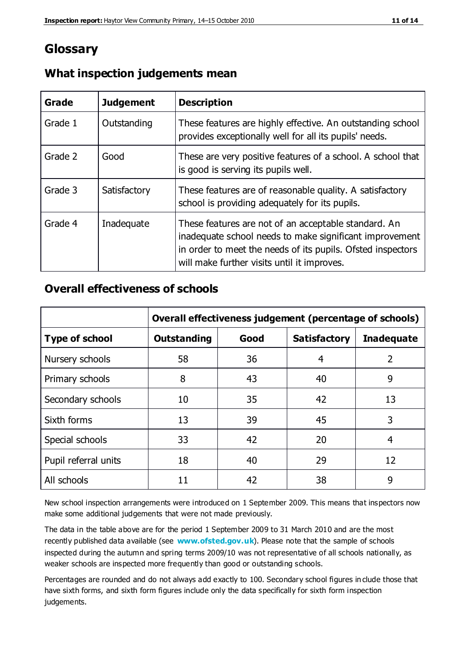## **Glossary**

| Grade   | <b>Judgement</b> | <b>Description</b>                                                                                                                                                                                                            |
|---------|------------------|-------------------------------------------------------------------------------------------------------------------------------------------------------------------------------------------------------------------------------|
| Grade 1 | Outstanding      | These features are highly effective. An outstanding school<br>provides exceptionally well for all its pupils' needs.                                                                                                          |
| Grade 2 | Good             | These are very positive features of a school. A school that<br>is good is serving its pupils well.                                                                                                                            |
| Grade 3 | Satisfactory     | These features are of reasonable quality. A satisfactory<br>school is providing adequately for its pupils.                                                                                                                    |
| Grade 4 | Inadequate       | These features are not of an acceptable standard. An<br>inadequate school needs to make significant improvement<br>in order to meet the needs of its pupils. Ofsted inspectors<br>will make further visits until it improves. |

#### **What inspection judgements mean**

#### **Overall effectiveness of schools**

|                       | Overall effectiveness judgement (percentage of schools) |      |                     |                   |
|-----------------------|---------------------------------------------------------|------|---------------------|-------------------|
| <b>Type of school</b> | <b>Outstanding</b>                                      | Good | <b>Satisfactory</b> | <b>Inadequate</b> |
| Nursery schools       | 58                                                      | 36   | 4                   | 2                 |
| Primary schools       | 8                                                       | 43   | 40                  | 9                 |
| Secondary schools     | 10                                                      | 35   | 42                  | 13                |
| Sixth forms           | 13                                                      | 39   | 45                  | 3                 |
| Special schools       | 33                                                      | 42   | 20                  | 4                 |
| Pupil referral units  | 18                                                      | 40   | 29                  | 12                |
| All schools           | 11                                                      | 42   | 38                  | 9                 |

New school inspection arrangements were introduced on 1 September 2009. This means that inspectors now make some additional judgements that were not made previously.

The data in the table above are for the period 1 September 2009 to 31 March 2010 and are the most recently published data available (see **[www.ofsted.gov.uk](http://www.ofsted.gov.uk/)**). Please note that the sample of schools inspected during the autumn and spring terms 2009/10 was not representative of all schools nationally, as weaker schools are inspected more frequently than good or outstanding schools.

Percentages are rounded and do not always add exactly to 100. Secondary school figures in clude those that have sixth forms, and sixth form figures include only the data specifically for sixth form inspection judgements.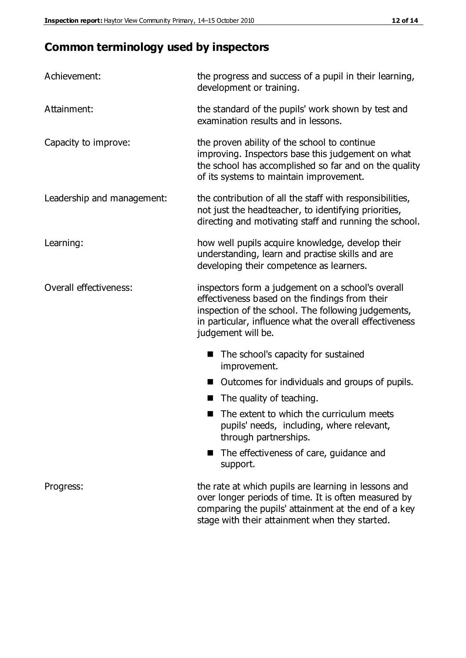## **Common terminology used by inspectors**

| Achievement:               | the progress and success of a pupil in their learning,<br>development or training.                                                                                                                                                          |  |
|----------------------------|---------------------------------------------------------------------------------------------------------------------------------------------------------------------------------------------------------------------------------------------|--|
| Attainment:                | the standard of the pupils' work shown by test and<br>examination results and in lessons.                                                                                                                                                   |  |
| Capacity to improve:       | the proven ability of the school to continue<br>improving. Inspectors base this judgement on what<br>the school has accomplished so far and on the quality<br>of its systems to maintain improvement.                                       |  |
| Leadership and management: | the contribution of all the staff with responsibilities,<br>not just the headteacher, to identifying priorities,<br>directing and motivating staff and running the school.                                                                  |  |
| Learning:                  | how well pupils acquire knowledge, develop their<br>understanding, learn and practise skills and are<br>developing their competence as learners.                                                                                            |  |
| Overall effectiveness:     | inspectors form a judgement on a school's overall<br>effectiveness based on the findings from their<br>inspection of the school. The following judgements,<br>in particular, influence what the overall effectiveness<br>judgement will be. |  |
|                            | The school's capacity for sustained<br>improvement.                                                                                                                                                                                         |  |
|                            | Outcomes for individuals and groups of pupils.                                                                                                                                                                                              |  |
|                            | The quality of teaching.                                                                                                                                                                                                                    |  |
|                            | The extent to which the curriculum meets<br>pupils' needs, including, where relevant,<br>through partnerships.                                                                                                                              |  |
|                            | The effectiveness of care, guidance and<br>support.                                                                                                                                                                                         |  |
| Progress:                  | the rate at which pupils are learning in lessons and<br>over longer periods of time. It is often measured by<br>comparing the pupils' attainment at the end of a key                                                                        |  |

stage with their attainment when they started.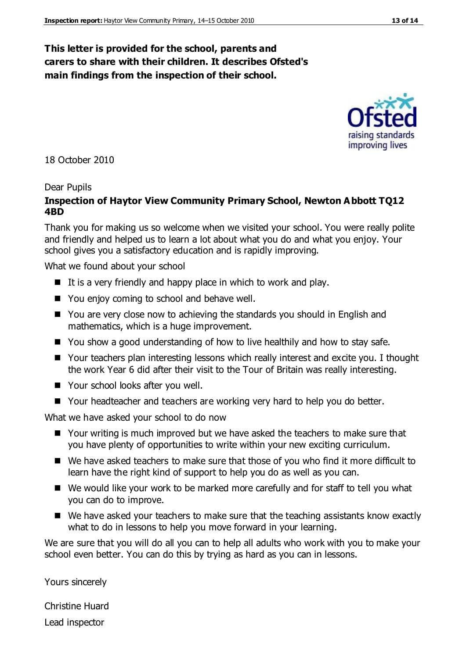#### **This letter is provided for the school, parents and carers to share with their children. It describes Ofsted's main findings from the inspection of their school.**

18 October 2010

#### Dear Pupils

#### **Inspection of Haytor View Community Primary School, Newton Abbott TQ12 4BD**

Thank you for making us so welcome when we visited your school. You were really polite and friendly and helped us to learn a lot about what you do and what you enjoy. Your school gives you a satisfactory education and is rapidly improving.

What we found about your school

- It is a very friendly and happy place in which to work and play.
- You enjoy coming to school and behave well.
- You are very close now to achieving the standards you should in English and mathematics, which is a huge improvement.
- You show a good understanding of how to live healthily and how to stay safe.
- Your teachers plan interesting lessons which really interest and excite you. I thought the work Year 6 did after their visit to the Tour of Britain was really interesting.
- Your school looks after you well.
- Your headteacher and teachers are working very hard to help you do better.

What we have asked your school to do now

- Your writing is much improved but we have asked the teachers to make sure that you have plenty of opportunities to write within your new exciting curriculum.
- We have asked teachers to make sure that those of you who find it more difficult to learn have the right kind of support to help you do as well as you can.
- We would like your work to be marked more carefully and for staff to tell you what you can do to improve.
- We have asked your teachers to make sure that the teaching assistants know exactly what to do in lessons to help you move forward in your learning.

We are sure that you will do all you can to help all adults who work with you to make your school even better. You can do this by trying as hard as you can in lessons.

Yours sincerely

Christine Huard Lead inspector